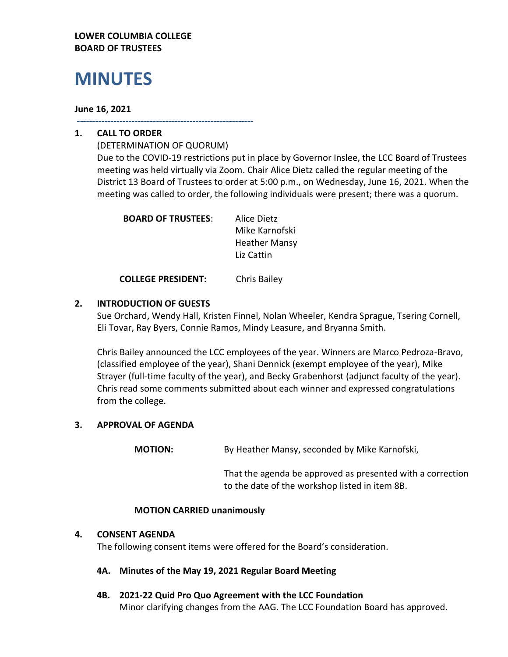## **LOWER COLUMBIA COLLEGE BOARD OF TRUSTEES**

# **MINUTES**

## **June 16, 2021**

**----------------------------------------------------------**

# **1. CALL TO ORDER**

(DETERMINATION OF QUORUM) Due to the COVID-19 restrictions put in place by Governor Inslee, the LCC Board of Trustees meeting was held virtually via Zoom. Chair Alice Dietz called the regular meeting of the District 13 Board of Trustees to order at 5:00 p.m., on Wednesday, June 16, 2021. When the meeting was called to order, the following individuals were present; there was a quorum.

| <b>BOARD OF TRUSTEES:</b> | Alice Dietz          |
|---------------------------|----------------------|
|                           | Mike Karnofski       |
|                           | <b>Heather Mansy</b> |
|                           | Liz Cattin           |
|                           |                      |

**COLLEGE PRESIDENT:** Chris Bailey

# **2. INTRODUCTION OF GUESTS**

Sue Orchard, Wendy Hall, Kristen Finnel, Nolan Wheeler, Kendra Sprague, Tsering Cornell, Eli Tovar, Ray Byers, Connie Ramos, Mindy Leasure, and Bryanna Smith.

Chris Bailey announced the LCC employees of the year. Winners are Marco Pedroza-Bravo, (classified employee of the year), Shani Dennick (exempt employee of the year), Mike Strayer (full-time faculty of the year), and Becky Grabenhorst (adjunct faculty of the year). Chris read some comments submitted about each winner and expressed congratulations from the college.

# **3. APPROVAL OF AGENDA**

**MOTION:** By Heather Mansy, seconded by Mike Karnofski,

That the agenda be approved as presented with a correction to the date of the workshop listed in item 8B.

## **MOTION CARRIED unanimously**

## **4. CONSENT AGENDA**

The following consent items were offered for the Board's consideration.

- **4A. Minutes of the May 19, 2021 Regular Board Meeting**
- **4B. 2021-22 Quid Pro Quo Agreement with the LCC Foundation** Minor clarifying changes from the AAG. The LCC Foundation Board has approved.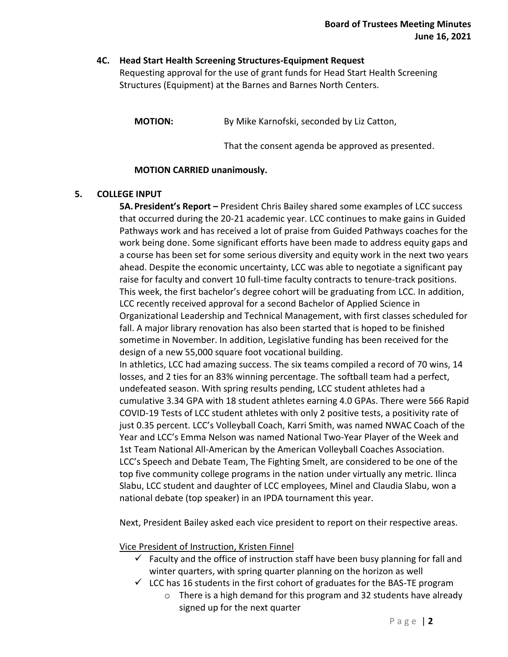## **4C. Head Start Health Screening Structures-Equipment Request** Requesting approval for the use of grant funds for Head Start Health Screening Structures (Equipment) at the Barnes and Barnes North Centers.

**MOTION:** By Mike Karnofski, seconded by Liz Catton,

That the consent agenda be approved as presented.

## **MOTION CARRIED unanimously.**

## **5. COLLEGE INPUT**

**5A.President's Report –** President Chris Bailey shared some examples of LCC success that occurred during the 20-21 academic year. LCC continues to make gains in Guided Pathways work and has received a lot of praise from Guided Pathways coaches for the work being done. Some significant efforts have been made to address equity gaps and a course has been set for some serious diversity and equity work in the next two years ahead. Despite the economic uncertainty, LCC was able to negotiate a significant pay raise for faculty and convert 10 full-time faculty contracts to tenure-track positions. This week, the first bachelor's degree cohort will be graduating from LCC. In addition, LCC recently received approval for a second Bachelor of Applied Science in Organizational Leadership and Technical Management, with first classes scheduled for fall. A major library renovation has also been started that is hoped to be finished sometime in November. In addition, Legislative funding has been received for the design of a new 55,000 square foot vocational building. In athletics, LCC had amazing success. The six teams compiled a record of 70 wins, 14 losses, and 2 ties for an 83% winning percentage. The softball team had a perfect, undefeated season. With spring results pending, LCC student athletes had a cumulative 3.34 GPA with 18 student athletes earning 4.0 GPAs. There were 566 Rapid COVID-19 Tests of LCC student athletes with only 2 positive tests, a positivity rate of just 0.35 percent. LCC's Volleyball Coach, Karri Smith, was named NWAC Coach of the Year and LCC's Emma Nelson was named National Two-Year Player of the Week and

1st Team National All-American by the American Volleyball Coaches Association. LCC's Speech and Debate Team, The Fighting Smelt, are considered to be one of the top five community college programs in the nation under virtually any metric. Ilinca Slabu, LCC student and daughter of LCC employees, Minel and Claudia Slabu, won a national debate (top speaker) in an IPDA tournament this year.

Next, President Bailey asked each vice president to report on their respective areas.

Vice President of Instruction, Kristen Finnel

- $\checkmark$  Faculty and the office of instruction staff have been busy planning for fall and winter quarters, with spring quarter planning on the horizon as well
- $\checkmark$  LCC has 16 students in the first cohort of graduates for the BAS-TE program
	- o There is a high demand for this program and 32 students have already signed up for the next quarter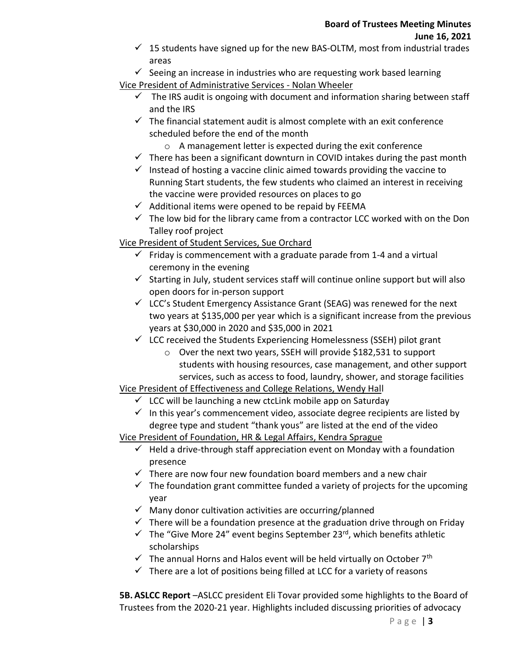- $\checkmark$  15 students have signed up for the new BAS-OLTM, most from industrial trades areas
- $\checkmark$  Seeing an increase in industries who are requesting work based learning

Vice President of Administrative Services - Nolan Wheeler

- $\checkmark$  The IRS audit is ongoing with document and information sharing between staff and the IRS
- $\checkmark$  The financial statement audit is almost complete with an exit conference scheduled before the end of the month
	- o A management letter is expected during the exit conference
- $\checkmark$  There has been a significant downturn in COVID intakes during the past month
- $\checkmark$  Instead of hosting a vaccine clinic aimed towards providing the vaccine to Running Start students, the few students who claimed an interest in receiving the vaccine were provided resources on places to go
- $\checkmark$  Additional items were opened to be repaid by FEEMA
- $\checkmark$  The low bid for the library came from a contractor LCC worked with on the Don Talley roof project

Vice President of Student Services, Sue Orchard

- $\checkmark$  Friday is commencement with a graduate parade from 1-4 and a virtual ceremony in the evening
- $\checkmark$  Starting in July, student services staff will continue online support but will also open doors for in-person support
- $\checkmark$  LCC's Student Emergency Assistance Grant (SEAG) was renewed for the next two years at \$135,000 per year which is a significant increase from the previous years at \$30,000 in 2020 and \$35,000 in 2021
- $\checkmark$  LCC received the Students Experiencing Homelessness (SSEH) pilot grant
	- o Over the next two years, SSEH will provide \$182,531 to support students with housing resources, case management, and other support services, such as access to food, laundry, shower, and storage facilities

# Vice President of Effectiveness and College Relations, Wendy Hall

- $\checkmark$  LCC will be launching a new ctcLink mobile app on Saturday
- $\checkmark$  In this year's commencement video, associate degree recipients are listed by degree type and student "thank yous" are listed at the end of the video

Vice President of Foundation, HR & Legal Affairs, Kendra Sprague

- $\checkmark$  Held a drive-through staff appreciation event on Monday with a foundation presence
- $\checkmark$  There are now four new foundation board members and a new chair
- $\checkmark$  The foundation grant committee funded a variety of projects for the upcoming year
- $\checkmark$  Many donor cultivation activities are occurring/planned
- $\checkmark$  There will be a foundation presence at the graduation drive through on Friday
- $\checkmark$  The "Give More 24" event begins September 23<sup>rd</sup>, which benefits athletic scholarships
- $\checkmark$  The annual Horns and Halos event will be held virtually on October 7<sup>th</sup>
- $\checkmark$  There are a lot of positions being filled at LCC for a variety of reasons

**5B. ASLCC Report** –ASLCC president Eli Tovar provided some highlights to the Board of Trustees from the 2020-21 year. Highlights included discussing priorities of advocacy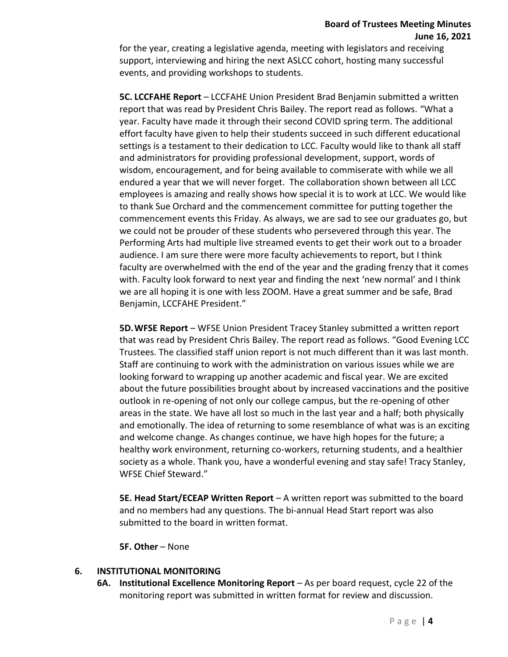# **Board of Trustees Meeting Minutes June 16, 2021**

for the year, creating a legislative agenda, meeting with legislators and receiving support, interviewing and hiring the next ASLCC cohort, hosting many successful events, and providing workshops to students.

**5C. LCCFAHE Report** – LCCFAHE Union President Brad Benjamin submitted a written report that was read by President Chris Bailey. The report read as follows. "What a year. Faculty have made it through their second COVID spring term. The additional effort faculty have given to help their students succeed in such different educational settings is a testament to their dedication to LCC. Faculty would like to thank all staff and administrators for providing professional development, support, words of wisdom, encouragement, and for being available to commiserate with while we all endured a year that we will never forget. The collaboration shown between all LCC employees is amazing and really shows how special it is to work at LCC. We would like to thank Sue Orchard and the commencement committee for putting together the commencement events this Friday. As always, we are sad to see our graduates go, but we could not be prouder of these students who persevered through this year. The Performing Arts had multiple live streamed events to get their work out to a broader audience. I am sure there were more faculty achievements to report, but I think faculty are overwhelmed with the end of the year and the grading frenzy that it comes with. Faculty look forward to next year and finding the next 'new normal' and I think we are all hoping it is one with less ZOOM. Have a great summer and be safe, Brad Benjamin, LCCFAHE President."

**5D.WFSE Report** – WFSE Union President Tracey Stanley submitted a written report that was read by President Chris Bailey. The report read as follows. "Good Evening LCC Trustees. The classified staff union report is not much different than it was last month. Staff are continuing to work with the administration on various issues while we are looking forward to wrapping up another academic and fiscal year. We are excited about the future possibilities brought about by increased vaccinations and the positive outlook in re-opening of not only our college campus, but the re-opening of other areas in the state. We have all lost so much in the last year and a half; both physically and emotionally. The idea of returning to some resemblance of what was is an exciting and welcome change. As changes continue, we have high hopes for the future; a healthy work environment, returning co-workers, returning students, and a healthier society as a whole. Thank you, have a wonderful evening and stay safe! Tracy Stanley, WFSE Chief Steward."

**5E. Head Start/ECEAP Written Report** – A written report was submitted to the board and no members had any questions. The bi-annual Head Start report was also submitted to the board in written format.

**5F. Other** – None

# **6. INSTITUTIONAL MONITORING**

**6A. Institutional Excellence Monitoring Report** – As per board request, cycle 22 of the monitoring report was submitted in written format for review and discussion.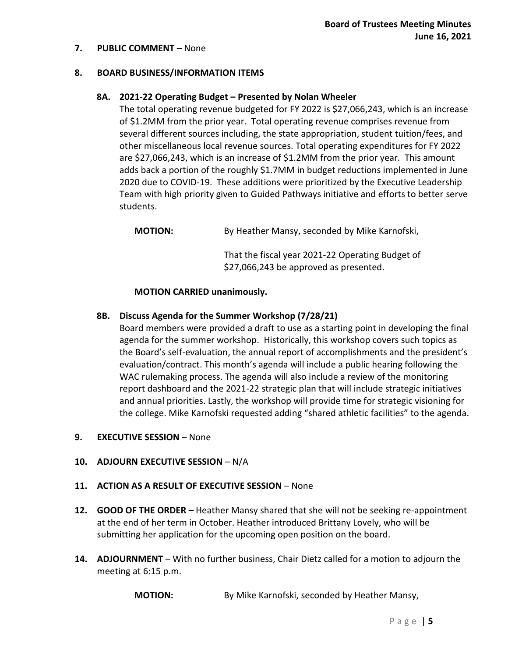#### **7. PUBLIC COMMENT –** None

#### **8. BOARD BUSINESS/INFORMATION ITEMS**

## **8A. 2021-22 Operating Budget – Presented by Nolan Wheeler**

The total operating revenue budgeted for FY 2022 is \$27,066,243, which is an increase of \$1.2MM from the prior year. Total operating revenue comprises revenue from several different sources including, the state appropriation, student tuition/fees, and other miscellaneous local revenue sources. Total operating expenditures for FY 2022 are \$27,066,243, which is an increase of \$1.2MM from the prior year. This amount adds back a portion of the roughly \$1.7MM in budget reductions implemented in June 2020 due to COVID-19. These additions were prioritized by the Executive Leadership Team with high priority given to Guided Pathways initiative and efforts to better serve students.

**MOTION:** By Heather Mansy, seconded by Mike Karnofski,

That the fiscal year 2021-22 Operating Budget of \$27,066,243 be approved as presented.

#### **MOTION CARRIED unanimously.**

#### **8B. Discuss Agenda for the Summer Workshop (7/28/21)**

Board members were provided a draft to use as a starting point in developing the final agenda for the summer workshop. Historically, this workshop covers such topics as the Board's self-evaluation, the annual report of accomplishments and the president's evaluation/contract. This month's agenda will include a public hearing following the WAC rulemaking process. The agenda will also include a review of the monitoring report dashboard and the 2021-22 strategic plan that will include strategic initiatives and annual priorities. Lastly, the workshop will provide time for strategic visioning for the college. Mike Karnofski requested adding "shared athletic facilities" to the agenda.

#### **9. EXECUTIVE SESSION** – None

#### **10. ADJOURN EXECUTIVE SESSION** – N/A

#### **11. ACTION AS A RESULT OF EXECUTIVE SESSION** – None

- **12. GOOD OF THE ORDER** Heather Mansy shared that she will not be seeking re-appointment at the end of her term in October. Heather introduced Brittany Lovely, who will be submitting her application for the upcoming open position on the board.
- **14. ADJOURNMENT** With no further business, Chair Dietz called for a motion to adjourn the meeting at 6:15 p.m.

**MOTION:** By Mike Karnofski, seconded by Heather Mansy,